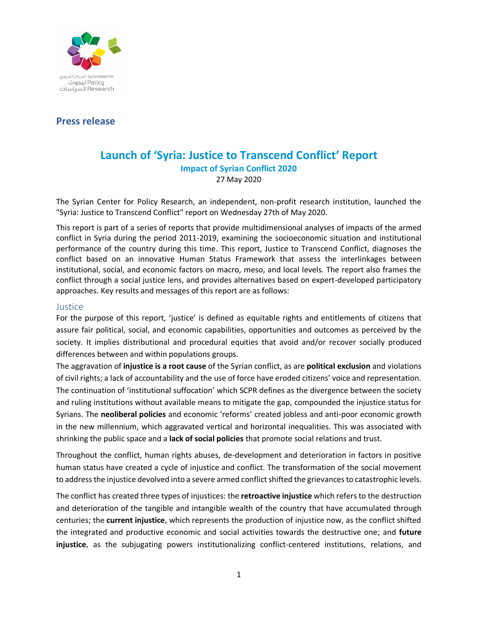

# **Press release**

# **Launch of 'Syria: Justice to Transcend Conflict' Report Impact of Syrian Conflict 2020** 27 May 2020

The Syrian Center for Policy Research, an independent, non-profit research institution, launched the "Syria: Justice to Transcend Conflict" report on Wednesday 27th of May 2020.

This report is part of a series of reports that provide multidimensional analyses of impacts of the armed conflict in Syria during the period 2011-2019, examining the socioeconomic situation and institutional performance of the country during this time. This report, Justice to Transcend Conflict, diagnoses the conflict based on an innovative Human Status Framework that assess the interlinkages between institutional, social, and economic factors on macro, meso, and local levels. The report also frames the conflict through a social justice lens, and provides alternatives based on expert-developed participatory approaches. Key results and messages of this report are as follows:

#### Justice

For the purpose of this report, 'justice' is defined as equitable rights and entitlements of citizens that assure fair political, social, and economic capabilities, opportunities and outcomes as perceived by the society. It implies distributional and procedural equities that avoid and/or recover socially produced differences between and within populations groups.

The aggravation of **injustice is a root cause** of the Syrian conflict, as are **political exclusion** and violations of civil rights; a lack of accountability and the use of force have eroded citizens' voice and representation. The continuation of 'institutional suffocation' which SCPR defines as the divergence between the society and ruling institutions without available means to mitigate the gap, compounded the injustice status for Syrians. The **neoliberal policies** and economic 'reforms' created jobless and anti-poor economic growth in the new millennium, which aggravated vertical and horizontal inequalities. This was associated with shrinking the public space and a **lack of social policies** that promote social relations and trust.

Throughout the conflict, human rights abuses, de-development and deterioration in factors in positive human status have created a cycle of injustice and conflict. The transformation of the social movement to address the injustice devolved into a severe armed conflict shifted the grievancesto catastrophic levels.

The conflict has created three types of injustices: the **retroactive injustice** which refers to the destruction and deterioration of the tangible and intangible wealth of the country that have accumulated through centuries; the **current injustice**, which represents the production of injustice now, as the conflict shifted the integrated and productive economic and social activities towards the destructive one; and **future injustice**, as the subjugating powers institutionalizing conflict-centered institutions, relations, and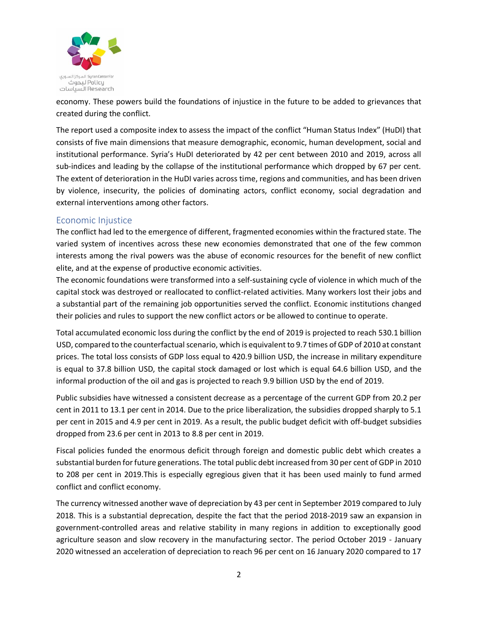

economy. These powers build the foundations of injustice in the future to be added to grievances that created during the conflict.

The report used a composite index to assess the impact of the conflict "Human Status Index" (HuDI) that consists of five main dimensions that measure demographic, economic, human development, social and institutional performance. Syria's HuDI deteriorated by 42 per cent between 2010 and 2019, across all sub-indices and leading by the collapse of the institutional performance which dropped by 67 per cent. The extent of deterioration in the HuDI varies across time, regions and communities, and has been driven by violence, insecurity, the policies of dominating actors, conflict economy, social degradation and external interventions among other factors.

## Economic Injustice

The conflict had led to the emergence of different, fragmented economies within the fractured state. The varied system of incentives across these new economies demonstrated that one of the few common interests among the rival powers was the abuse of economic resources for the benefit of new conflict elite, and at the expense of productive economic activities.

The economic foundations were transformed into a self-sustaining cycle of violence in which much of the capital stock was destroyed or reallocated to conflict-related activities. Many workers lost their jobs and a substantial part of the remaining job opportunities served the conflict. Economic institutions changed their policies and rules to support the new conflict actors or be allowed to continue to operate.

Total accumulated economic loss during the conflict by the end of 2019 is projected to reach 530.1 billion USD, compared to the counterfactual scenario, which is equivalent to 9.7 times of GDP of 2010 at constant prices. The total loss consists of GDP loss equal to 420.9 billion USD, the increase in military expenditure is equal to 37.8 billion USD, the capital stock damaged or lost which is equal 64.6 billion USD, and the informal production of the oil and gas is projected to reach 9.9 billion USD by the end of 2019.

Public subsidies have witnessed a consistent decrease as a percentage of the current GDP from 20.2 per cent in 2011 to 13.1 per cent in 2014. Due to the price liberalization, the subsidies dropped sharply to 5.1 per cent in 2015 and 4.9 per cent in 2019. As a result, the public budget deficit with off-budget subsidies dropped from 23.6 per cent in 2013 to 8.8 per cent in 2019.

Fiscal policies funded the enormous deficit through foreign and domestic public debt which creates a substantial burden for future generations. The total public debt increased from 30 per cent of GDP in 2010 to 208 per cent in 2019.This is especially egregious given that it has been used mainly to fund armed conflict and conflict economy.

The currency witnessed another wave of depreciation by 43 per cent in September 2019 compared to July 2018. This is a substantial deprecation, despite the fact that the period 2018-2019 saw an expansion in government-controlled areas and relative stability in many regions in addition to exceptionally good agriculture season and slow recovery in the manufacturing sector. The period October 2019 - January 2020 witnessed an acceleration of depreciation to reach 96 per cent on 16 January 2020 compared to 17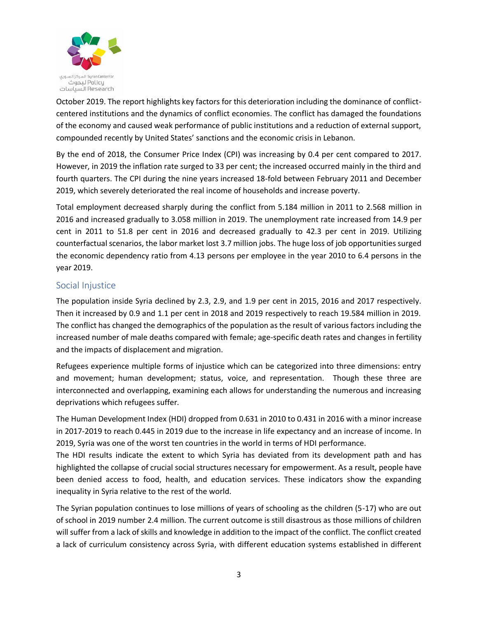

October 2019. The report highlights key factors for this deterioration including the dominance of conflictcentered institutions and the dynamics of conflict economies. The conflict has damaged the foundations of the economy and caused weak performance of public institutions and a reduction of external support, compounded recently by United States' sanctions and the economic crisis in Lebanon.

By the end of 2018, the Consumer Price Index (CPI) was increasing by 0.4 per cent compared to 2017. However, in 2019 the inflation rate surged to 33 per cent; the increased occurred mainly in the third and fourth quarters. The CPI during the nine years increased 18-fold between February 2011 and December 2019, which severely deteriorated the real income of households and increase poverty.

Total employment decreased sharply during the conflict from 5.184 million in 2011 to 2.568 million in 2016 and increased gradually to 3.058 million in 2019. The unemployment rate increased from 14.9 per cent in 2011 to 51.8 per cent in 2016 and decreased gradually to 42.3 per cent in 2019. Utilizing counterfactual scenarios, the labor market lost 3.7 million jobs. The huge loss of job opportunities surged the economic dependency ratio from 4.13 persons per employee in the year 2010 to 6.4 persons in the year 2019.

## Social Injustice

The population inside Syria declined by 2.3, 2.9, and 1.9 per cent in 2015, 2016 and 2017 respectively. Then it increased by 0.9 and 1.1 per cent in 2018 and 2019 respectively to reach 19.584 million in 2019. The conflict has changed the demographics of the population as the result of various factors including the increased number of male deaths compared with female; age-specific death rates and changes in fertility and the impacts of displacement and migration.

Refugees experience multiple forms of injustice which can be categorized into three dimensions: entry and movement; human development; status, voice, and representation. Though these three are interconnected and overlapping, examining each allows for understanding the numerous and increasing deprivations which refugees suffer.

The Human Development Index (HDI) dropped from 0.631 in 2010 to 0.431 in 2016 with a minor increase in 2017-2019 to reach 0.445 in 2019 due to the increase in life expectancy and an increase of income. In 2019, Syria was one of the worst ten countries in the world in terms of HDI performance.

The HDI results indicate the extent to which Syria has deviated from its development path and has highlighted the collapse of crucial social structures necessary for empowerment. As a result, people have been denied access to food, health, and education services. These indicators show the expanding inequality in Syria relative to the rest of the world.

The Syrian population continues to lose millions of years of schooling as the children (5-17) who are out of school in 2019 number 2.4 million. The current outcome is still disastrous as those millions of children will suffer from a lack of skills and knowledge in addition to the impact of the conflict. The conflict created a lack of curriculum consistency across Syria, with different education systems established in different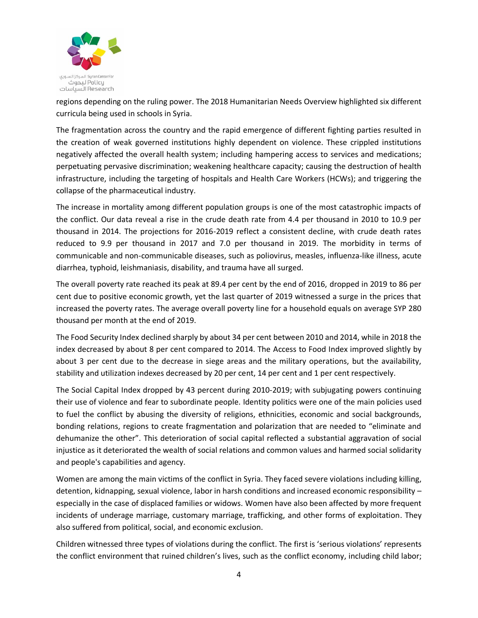

regions depending on the ruling power. The 2018 Humanitarian Needs Overview highlighted six different curricula being used in schools in Syria.

The fragmentation across the country and the rapid emergence of different fighting parties resulted in the creation of weak governed institutions highly dependent on violence. These crippled institutions negatively affected the overall health system; including hampering access to services and medications; perpetuating pervasive discrimination; weakening healthcare capacity; causing the destruction of health infrastructure, including the targeting of hospitals and Health Care Workers (HCWs); and triggering the collapse of the pharmaceutical industry.

The increase in mortality among different population groups is one of the most catastrophic impacts of the conflict. Our data reveal a rise in the crude death rate from 4.4 per thousand in 2010 to 10.9 per thousand in 2014. The projections for 2016-2019 reflect a consistent decline, with crude death rates reduced to 9.9 per thousand in 2017 and 7.0 per thousand in 2019. The morbidity in terms of communicable and non-communicable diseases, such as poliovirus, measles, influenza-like illness, acute diarrhea, typhoid, leishmaniasis, disability, and trauma have all surged.

The overall poverty rate reached its peak at 89.4 per cent by the end of 2016, dropped in 2019 to 86 per cent due to positive economic growth, yet the last quarter of 2019 witnessed a surge in the prices that increased the poverty rates. The average overall poverty line for a household equals on average SYP 280 thousand per month at the end of 2019.

The Food Security Index declined sharply by about 34 per cent between 2010 and 2014, while in 2018 the index decreased by about 8 per cent compared to 2014. The Access to Food Index improved slightly by about 3 per cent due to the decrease in siege areas and the military operations, but the availability, stability and utilization indexes decreased by 20 per cent, 14 per cent and 1 per cent respectively.

The Social Capital Index dropped by 43 percent during 2010-2019; with subjugating powers continuing their use of violence and fear to subordinate people. Identity politics were one of the main policies used to fuel the conflict by abusing the diversity of religions, ethnicities, economic and social backgrounds, bonding relations, regions to create fragmentation and polarization that are needed to "eliminate and dehumanize the other". This deterioration of social capital reflected a substantial aggravation of social injustice as it deteriorated the wealth of social relations and common values and harmed social solidarity and people's capabilities and agency.

Women are among the main victims of the conflict in Syria. They faced severe violations including killing, detention, kidnapping, sexual violence, labor in harsh conditions and increased economic responsibility – especially in the case of displaced families or widows. Women have also been affected by more frequent incidents of underage marriage, customary marriage, trafficking, and other forms of exploitation. They also suffered from political, social, and economic exclusion.

Children witnessed three types of violations during the conflict. The first is 'serious violations' represents the conflict environment that ruined children's lives, such as the conflict economy, including child labor;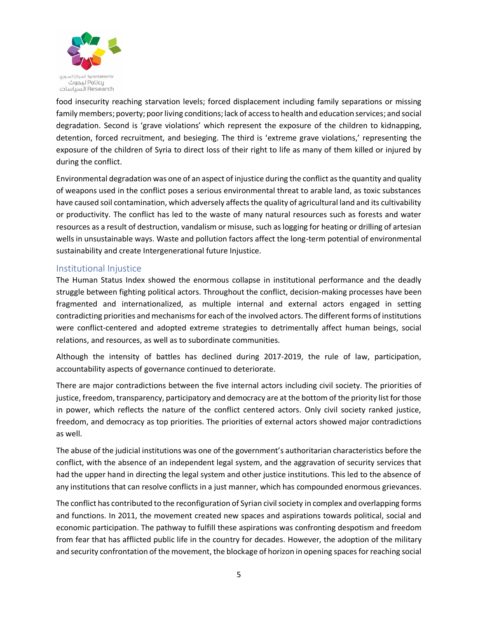

food insecurity reaching starvation levels; forced displacement including family separations or missing family members; poverty; poor living conditions; lack of access to health and education services; and social degradation. Second is 'grave violations' which represent the exposure of the children to kidnapping, detention, forced recruitment, and besieging. The third is 'extreme grave violations,' representing the exposure of the children of Syria to direct loss of their right to life as many of them killed or injured by during the conflict.

Environmental degradation was one of an aspect of injustice during the conflict as the quantity and quality of weapons used in the conflict poses a serious environmental threat to arable land, as toxic substances have caused soil contamination, which adversely affects the quality of agricultural land and its cultivability or productivity. The conflict has led to the waste of many natural resources such as forests and water resources as a result of destruction, vandalism or misuse, such as logging for heating or drilling of artesian wells in unsustainable ways. Waste and pollution factors affect the long-term potential of environmental sustainability and create Intergenerational future Injustice.

## Institutional Injustice

The Human Status Index showed the enormous collapse in institutional performance and the deadly struggle between fighting political actors. Throughout the conflict, decision-making processes have been fragmented and internationalized, as multiple internal and external actors engaged in setting contradicting priorities and mechanisms for each of the involved actors. The different forms of institutions were conflict-centered and adopted extreme strategies to detrimentally affect human beings, social relations, and resources, as well as to subordinate communities.

Although the intensity of battles has declined during 2017-2019, the rule of law, participation, accountability aspects of governance continued to deteriorate.

There are major contradictions between the five internal actors including civil society. The priorities of justice, freedom, transparency, participatory and democracy are at the bottom of the priority list for those in power, which reflects the nature of the conflict centered actors. Only civil society ranked justice, freedom, and democracy as top priorities. The priorities of external actors showed major contradictions as well.

The abuse of the judicial institutions was one of the government's authoritarian characteristics before the conflict, with the absence of an independent legal system, and the aggravation of security services that had the upper hand in directing the legal system and other justice institutions. This led to the absence of any institutions that can resolve conflicts in a just manner, which has compounded enormous grievances.

The conflict has contributed to the reconfiguration of Syrian civil society in complex and overlapping forms and functions. In 2011, the movement created new spaces and aspirations towards political, social and economic participation. The pathway to fulfill these aspirations was confronting despotism and freedom from fear that has afflicted public life in the country for decades. However, the adoption of the military and security confrontation of the movement, the blockage of horizon in opening spaces for reaching social